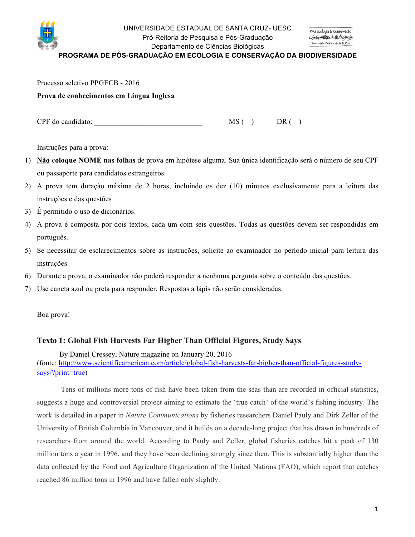

#### UNIVERSIDADE ESTADUAL DE SANTA CRUZ- UESC Pró-Reitoria de Pesquisa e Pós-Graduação Departamento de Ciências Biológicas

**PROGRAMA DE PÓS-GRADUAÇÃO EM ECOLOGIA E CONSERVAÇÃO DA BIODIVERSIDADE**

Processo seletivo PPGECB - 2016

#### **Prova de conhecimentos em Língua Inglesa**

 $CPF$  do candidato:  $MS( )$  DR ( )

Instruções para a prova:

- 1) **Não coloque NOME nas folhas** de prova em hipótese alguma. Sua única identificação será o número de seu CPF ou passaporte para candidatos estrangeiros.
- 2) A prova tem duração máxima de 2 horas, incluindo os dez (10) minutos exclusivamente para a leitura das instruções e das questões
- 3) É permitido o uso de dicionários.
- 4) A prova é composta por dois textos, cada um com seis questões. Todas as questões devem ser respondidas em português.
- 5) Se necessitar de esclarecimentos sobre as instruções, solicite ao examinador no período inicial para leitura das instruções.
- 6) Durante a prova, o examinador não poderá responder a nenhuma pergunta sobre o conteúdo das questões.
- 7) Use caneta azul ou preta para responder. Respostas a lápis não serão consideradas.

Boa prova!

## **Texto 1: Global Fish Harvests Far Higher Than Official Figures, Study Says**

 By Daniel Cressey, Nature magazine on January 20, 2016 (fonte: http://www.scientificamerican.com/article/global-fish-harvests-far-higher-than-official-figures-studysays/?print=true)

Tens of millions more tons of fish have been taken from the seas than are recorded in official statistics, suggests a huge and controversial project aiming to estimate the 'true catch' of the world's fishing industry. The work is detailed in a paper in *Nature Communications* by fisheries researchers Daniel Pauly and Dirk Zeller of the University of British Columbia in Vancouver, and it builds on a decade-long project that has drawn in hundreds of researchers from around the world. According to Pauly and Zeller, global fisheries catches hit a peak of 130 million tons a year in 1996, and they have been declining strongly since then. This is substantially higher than the data collected by the Food and Agriculture Organization of the United Nations (FAO), which report that catches reached 86 million tons in 1996 and have fallen only slightly.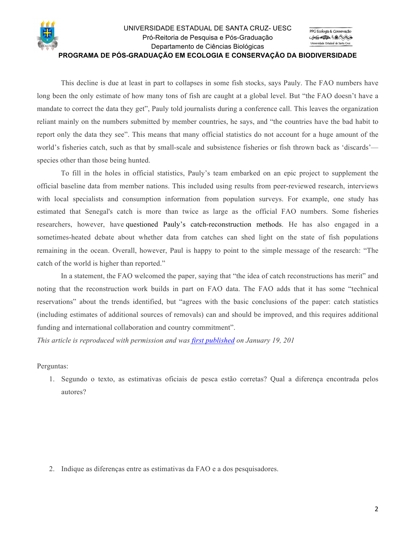

This decline is due at least in part to collapses in some fish stocks, says Pauly. The FAO numbers have long been the only estimate of how many tons of fish are caught at a global level. But "the FAO doesn't have a mandate to correct the data they get", Pauly told journalists during a conference call. This leaves the organization reliant mainly on the numbers submitted by member countries, he says, and "the countries have the bad habit to report only the data they see". This means that many official statistics do not account for a huge amount of the world's fisheries catch, such as that by small-scale and subsistence fisheries or fish thrown back as 'discards' species other than those being hunted.

To fill in the holes in official statistics, Pauly's team embarked on an epic project to supplement the official baseline data from member nations. This included using results from peer-reviewed research, interviews with local specialists and consumption information from population surveys. For example, one study has estimated that Senegal's catch is more than twice as large as the official FAO numbers. Some fisheries researchers, however, have questioned Pauly's catch-reconstruction methods. He has also engaged in a sometimes-heated debate about whether data from catches can shed light on the state of fish populations remaining in the ocean. Overall, however, Paul is happy to point to the simple message of the research: "The catch of the world is higher than reported."

In a statement, the FAO welcomed the paper, saying that "the idea of catch reconstructions has merit" and noting that the reconstruction work builds in part on FAO data. The FAO adds that it has some "technical reservations" about the trends identified, but "agrees with the basic conclusions of the paper: catch statistics (including estimates of additional sources of removals) can and should be improved, and this requires additional funding and international collaboration and country commitment".

*This article is reproduced with permission and was first published on January 19, 201*

#### Perguntas:

1. Segundo o texto, as estimativas oficiais de pesca estão corretas? Qual a diferença encontrada pelos autores?

2. Indique as diferenças entre as estimativas da FAO e a dos pesquisadores.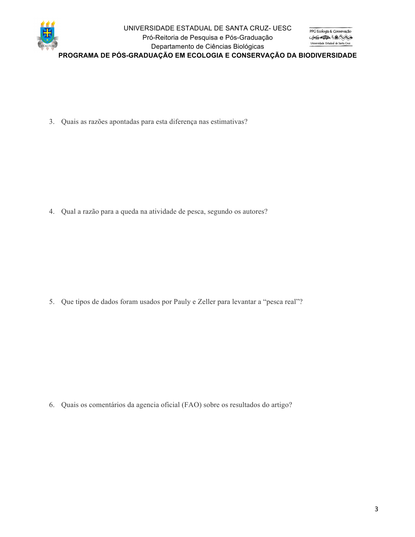

### UNIVERSIDADE ESTADUAL DE SANTA CRUZ- UESC Pró-Reitoria de Pesquisa e Pós-Graduação Departamento de Ciências Biológicas

**PROGRAMA DE PÓS-GRADUAÇÃO EM ECOLOGIA E CONSERVAÇÃO DA BIODIVERSIDADE**

3. Quais as razões apontadas para esta diferença nas estimativas?

4. Qual a razão para a queda na atividade de pesca, segundo os autores?

5. Que tipos de dados foram usados por Pauly e Zeller para levantar a "pesca real"?

6. Quais os comentários da agencia oficial (FAO) sobre os resultados do artigo?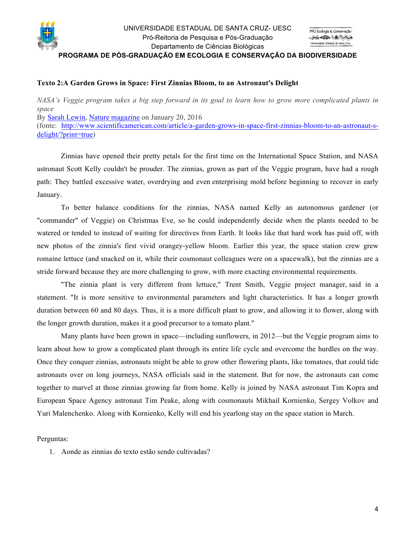

# **Texto 2:A Garden Grows in Space: First Zinnias Bloom, to an Astronaut's Delight**

*NASA's Veggie program takes a big step forward in its goal to learn how to grow more complicated plants in space* By Sarah Lewin, Nature magazine on January 20, 2016 (fonte: http://www.scientificamerican.com/article/a-garden-grows-in-space-first-zinnias-bloom-to-an-astronaut-sdelight/?print=true)

Zinnias have opened their pretty petals for the first time on the International Space Station, and NASA astronaut Scott Kelly couldn't be prouder. The zinnias, grown as part of the Veggie program, have had a rough path: They battled excessive water, overdrying and even enterprising mold before beginning to recover in early January.

To better balance conditions for the zinnias, NASA named Kelly an autonomous gardener (or "commander" of Veggie) on Christmas Eve, so he could independently decide when the plants needed to be watered or tended to instead of waiting for directives from Earth. It looks like that hard work has paid off, with new photos of the zinnia's first vivid orangey-yellow bloom. Earlier this year, the space station crew grew romaine lettuce (and snacked on it, while their cosmonaut colleagues were on a spacewalk), but the zinnias are a stride forward because they are more challenging to grow, with more exacting environmental requirements.

"The zinnia plant is very different from lettuce," Trent Smith, Veggie project manager, said in a statement. "It is more sensitive to environmental parameters and light characteristics. It has a longer growth duration between 60 and 80 days. Thus, it is a more difficult plant to grow, and allowing it to flower, along with the longer growth duration, makes it a good precursor to a tomato plant."

Many plants have been grown in space—including sunflowers, in 2012—but the Veggie program aims to learn about how to grow a complicated plant through its entire life cycle and overcome the hurdles on the way. Once they conquer zinnias, astronauts might be able to grow other flowering plants, like tomatoes, that could tide astronauts over on long journeys, NASA officials said in the statement. But for now, the astronauts can come together to marvel at those zinnias growing far from home. Kelly is joined by NASA astronaut Tim Kopra and European Space Agency astronaut Tim Peake, along with cosmonauts Mikhail Kornienko, Sergey Volkov and Yuri Malenchenko. Along with Kornienko, Kelly will end his yearlong stay on the space station in March.

Perguntas:

1. Aonde as zinnias do texto estão sendo cultivadas?